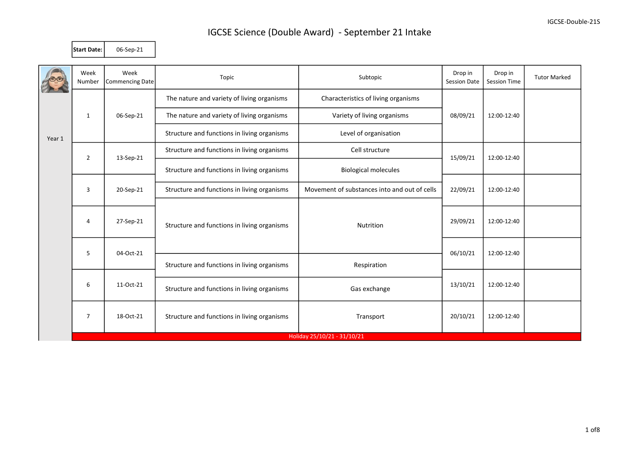Start Date: 06-Sep-21

|        | Week<br>Number | Week<br>Commencing Date                                                      | Topic                                       | Subtopic                                     | Drop in<br><b>Session Date</b> | Drop in<br>Session Time | <b>Tutor Marked</b> |
|--------|----------------|------------------------------------------------------------------------------|---------------------------------------------|----------------------------------------------|--------------------------------|-------------------------|---------------------|
|        |                |                                                                              | The nature and variety of living organisms  | Characteristics of living organisms          |                                |                         |                     |
|        | $\mathbf{1}$   | 06-Sep-21                                                                    | The nature and variety of living organisms  | Variety of living organisms                  | 08/09/21                       | 12:00-12:40             |                     |
| Year 1 |                |                                                                              | Structure and functions in living organisms | Level of organisation                        |                                |                         |                     |
|        | $\overline{2}$ | 13-Sep-21                                                                    | Structure and functions in living organisms | Cell structure                               | 15/09/21                       | 12:00-12:40             |                     |
|        |                |                                                                              | Structure and functions in living organisms | <b>Biological molecules</b>                  |                                |                         |                     |
|        | 3              | 20-Sep-21                                                                    | Structure and functions in living organisms | Movement of substances into and out of cells | 22/09/21                       | 12:00-12:40             |                     |
|        | 4              | 27-Sep-21                                                                    | Structure and functions in living organisms | Nutrition                                    | 29/09/21                       | 12:00-12:40             |                     |
|        |                | 5<br>04-Oct-21<br>Structure and functions in living organisms<br>Respiration |                                             |                                              | 06/10/21                       | 12:00-12:40             |                     |
|        |                |                                                                              |                                             |                                              |                                |                         |                     |
|        | 6              | 11-Oct-21                                                                    | Structure and functions in living organisms | Gas exchange                                 | 13/10/21                       | 12:00-12:40             |                     |
|        | $\overline{7}$ | 18-Oct-21                                                                    | Structure and functions in living organisms | Transport                                    | 20/10/21                       | 12:00-12:40             |                     |
|        |                |                                                                              |                                             | Holiday 25/10/21 - 31/10/21                  |                                |                         |                     |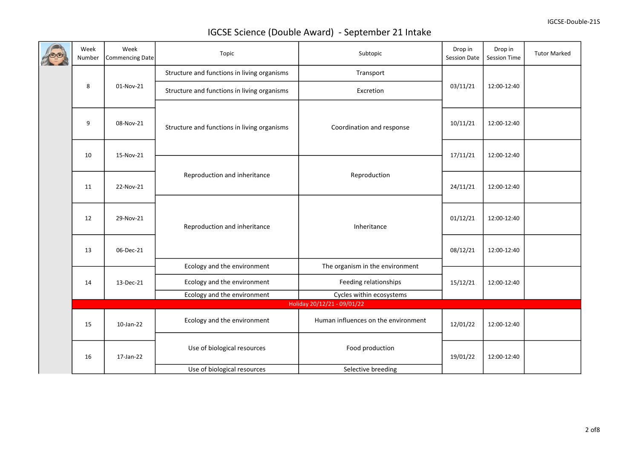| Week<br>Number              | Week<br>Commencing Date | Topic                                       | Subtopic                            | Drop in<br>Session Date | Drop in<br>Session Time | <b>Tutor Marked</b> |
|-----------------------------|-------------------------|---------------------------------------------|-------------------------------------|-------------------------|-------------------------|---------------------|
|                             |                         | Structure and functions in living organisms | Transport                           |                         |                         |                     |
| 8                           | 01-Nov-21               | Structure and functions in living organisms | Excretion                           | 03/11/21                | 12:00-12:40             |                     |
| 9                           | 08-Nov-21               | Structure and functions in living organisms | Coordination and response           | 10/11/21                | 12:00-12:40             |                     |
| 10                          | 15-Nov-21               |                                             |                                     | 17/11/21                | 12:00-12:40             |                     |
|                             |                         |                                             |                                     |                         |                         |                     |
| 11                          | 22-Nov-21               | Reproduction and inheritance                | Reproduction                        | 24/11/21                | 12:00-12:40             |                     |
| 12                          | 29-Nov-21               | Reproduction and inheritance                | Inheritance                         | 01/12/21                | 12:00-12:40             |                     |
| 13                          | 06-Dec-21               |                                             |                                     | 08/12/21                | 12:00-12:40             |                     |
|                             |                         | Ecology and the environment                 | The organism in the environment     |                         |                         |                     |
| 14                          | 13-Dec-21               | Ecology and the environment                 | Feeding relationships               | 15/12/21                | 12:00-12:40             |                     |
|                             |                         | Ecology and the environment                 | Cycles within ecosystems            |                         |                         |                     |
| Holiday 20/12/21 - 09/01/22 |                         |                                             |                                     |                         |                         |                     |
| 15                          | 10-Jan-22               | Ecology and the environment                 | Human influences on the environment | 12/01/22                | 12:00-12:40             |                     |
| 16                          | 17-Jan-22               | Use of biological resources                 | Food production                     | 19/01/22                | 12:00-12:40             |                     |
|                             |                         | Use of biological resources                 | Selective breeding                  |                         |                         |                     |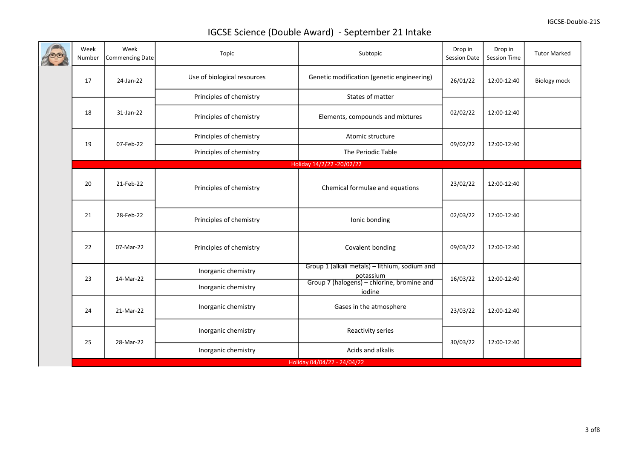| Week<br>Number | Week<br><b>Commencing Date</b> | Topic                       | Subtopic                                                                                                 | Drop in<br>Session Date | Drop in<br>Session Time | <b>Tutor Marked</b> |
|----------------|--------------------------------|-----------------------------|----------------------------------------------------------------------------------------------------------|-------------------------|-------------------------|---------------------|
| 17             | 24-Jan-22                      | Use of biological resources | Genetic modification (genetic engineering)                                                               | 26/01/22                | 12:00-12:40             | <b>Biology mock</b> |
|                |                                | Principles of chemistry     | States of matter                                                                                         |                         |                         |                     |
| 18             | 31-Jan-22                      | Principles of chemistry     | Elements, compounds and mixtures                                                                         | 02/02/22                | 12:00-12:40             |                     |
| 19             |                                | Principles of chemistry     | Atomic structure                                                                                         |                         |                         |                     |
|                | 07-Feb-22                      | Principles of chemistry     | The Periodic Table                                                                                       | 09/02/22                | 12:00-12:40             |                     |
|                |                                |                             | Holiday 14/2/22 - 20/02/22                                                                               |                         |                         |                     |
| 20             | 21-Feb-22                      | Principles of chemistry     | Chemical formulae and equations                                                                          | 23/02/22                | 12:00-12:40             |                     |
| 21             | 28-Feb-22                      | Principles of chemistry     | Ionic bonding                                                                                            | 02/03/22                | 12:00-12:40             |                     |
| 22             | 07-Mar-22                      | Principles of chemistry     | Covalent bonding                                                                                         | 09/03/22                | 12:00-12:40             |                     |
| 23             | 14-Mar-22                      | Inorganic chemistry         | Group 1 (alkali metals) - lithium, sodium and<br>potassium<br>Group 7 (halogens) – chlorine, bromine and | 16/03/22                | 12:00-12:40             |                     |
|                |                                | Inorganic chemistry         | iodine                                                                                                   |                         |                         |                     |
| 24             | 21-Mar-22                      | Inorganic chemistry         | Gases in the atmosphere                                                                                  | 23/03/22                | 12:00-12:40             |                     |
|                |                                | Inorganic chemistry         | Reactivity series                                                                                        |                         |                         |                     |
| 25             | 28-Mar-22                      | Inorganic chemistry         | Acids and alkalis                                                                                        | 30/03/22                | 12:00-12:40             |                     |
|                |                                |                             | Holiday 04/04/22 - 24/04/22                                                                              |                         |                         |                     |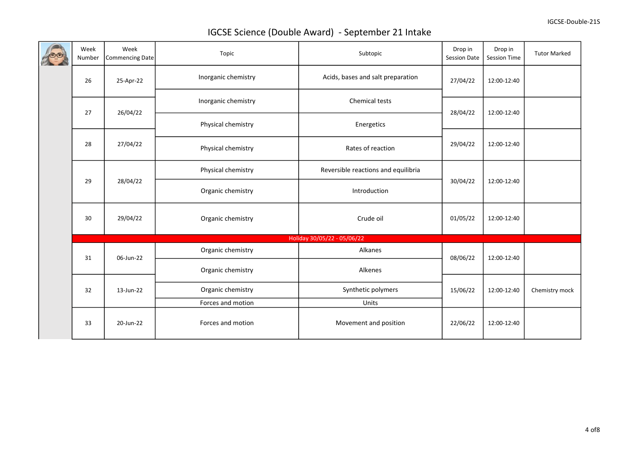|  | Week<br>Number              | Week<br>Commencing Date | Topic               | Subtopic                            | Drop in<br><b>Session Date</b> | Drop in<br>Session Time | <b>Tutor Marked</b> |  |  |  |
|--|-----------------------------|-------------------------|---------------------|-------------------------------------|--------------------------------|-------------------------|---------------------|--|--|--|
|  | 26                          | 25-Apr-22               | Inorganic chemistry | Acids, bases and salt preparation   | 27/04/22                       | 12:00-12:40             |                     |  |  |  |
|  |                             |                         | Inorganic chemistry | Chemical tests                      |                                | 12:00-12:40             |                     |  |  |  |
|  | 27                          | 26/04/22                | Physical chemistry  | Energetics                          | 28/04/22                       |                         |                     |  |  |  |
|  | 28                          | 27/04/22                | Physical chemistry  | Rates of reaction                   | 29/04/22                       | 12:00-12:40             |                     |  |  |  |
|  | 29                          |                         | Physical chemistry  | Reversible reactions and equilibria | 30/04/22                       | 12:00-12:40             |                     |  |  |  |
|  |                             | 28/04/22                | Organic chemistry   | Introduction                        |                                |                         |                     |  |  |  |
|  | 30                          | 29/04/22                | Organic chemistry   | Crude oil                           | 01/05/22                       | 12:00-12:40             |                     |  |  |  |
|  | Holiday 30/05/22 - 05/06/22 |                         |                     |                                     |                                |                         |                     |  |  |  |
|  | 31                          | 06-Jun-22               | Organic chemistry   | Alkanes                             | 08/06/22                       | 12:00-12:40             |                     |  |  |  |
|  |                             |                         | Organic chemistry   | Alkenes                             |                                |                         |                     |  |  |  |
|  | 32                          | 13-Jun-22               | Organic chemistry   | Synthetic polymers                  | 15/06/22                       | 12:00-12:40             | Chemistry mock      |  |  |  |
|  |                             |                         | Forces and motion   | Units                               |                                |                         |                     |  |  |  |
|  | 33                          | 20-Jun-22               | Forces and motion   | Movement and position               | 22/06/22                       | 12:00-12:40             |                     |  |  |  |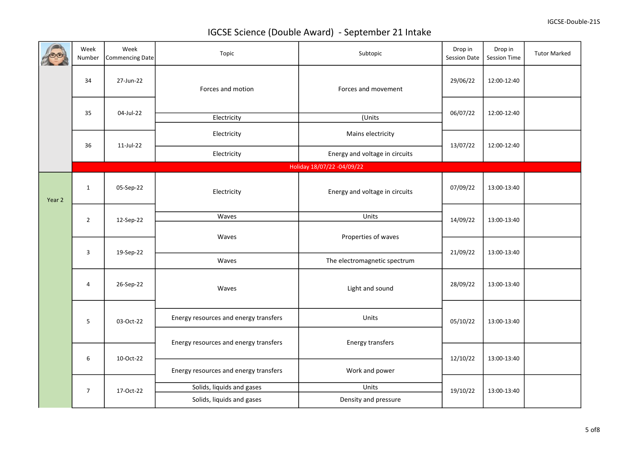|        | Week<br>Number | Week<br>Commencing Date | Topic                                 | Subtopic                       | Drop in<br>Session Date | Drop in<br>Session Time | <b>Tutor Marked</b> |  |
|--------|----------------|-------------------------|---------------------------------------|--------------------------------|-------------------------|-------------------------|---------------------|--|
|        | 34             | 27-Jun-22               | Forces and motion                     | Forces and movement            | 29/06/22                | 12:00-12:40             |                     |  |
|        | 35             | 04-Jul-22               | Electricity                           | (Units                         | 06/07/22                | 12:00-12:40             |                     |  |
|        | 36             | $11$ -Jul-22            | Electricity                           | Mains electricity              | 13/07/22                | 12:00-12:40             |                     |  |
|        |                |                         | Electricity                           | Energy and voltage in circuits |                         |                         |                     |  |
|        |                |                         |                                       | Holiday 18/07/22 -04/09/22     |                         |                         |                     |  |
| Year 2 | $\mathbf{1}$   | 05-Sep-22               | Electricity                           | Energy and voltage in circuits | 07/09/22                | 13:00-13:40             |                     |  |
|        | $\overline{2}$ |                         | Waves                                 | Units                          |                         |                         |                     |  |
|        |                | 12-Sep-22               |                                       |                                | 14/09/22                | 13:00-13:40             |                     |  |
|        | $\overline{3}$ |                         | Waves                                 | Properties of waves            |                         |                         |                     |  |
|        |                | 19-Sep-22               |                                       |                                | 21/09/22                | 13:00-13:40             |                     |  |
|        |                |                         | Waves                                 | The electromagnetic spectrum   |                         |                         |                     |  |
|        | 4              | 26-Sep-22               | Waves                                 | Light and sound                | 28/09/22                | 13:00-13:40             |                     |  |
|        | 5              | 03-Oct-22               | Energy resources and energy transfers | Units                          | 05/10/22                | 13:00-13:40             |                     |  |
|        |                |                         | Energy resources and energy transfers | Energy transfers               |                         |                         |                     |  |
|        |                |                         |                                       |                                |                         |                         |                     |  |
|        | 6              | 10-Oct-22               | Energy resources and energy transfers | Work and power                 | 12/10/22                | 13:00-13:40             |                     |  |
|        |                |                         | Solids, liquids and gases             | Units                          |                         |                         |                     |  |
|        | $\overline{7}$ | 17-Oct-22               | Solids, liquids and gases             | Density and pressure           | 19/10/22                | 13:00-13:40             |                     |  |
|        |                |                         |                                       |                                |                         |                         |                     |  |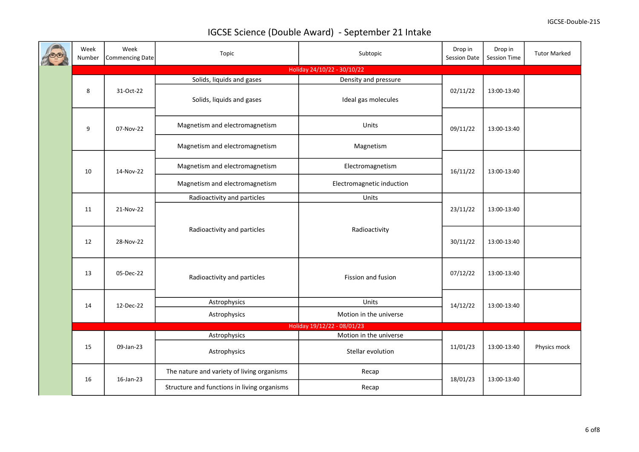| Week<br>Number | Week<br>Commencing Date | Topic                                       | Subtopic                    | Drop in<br>Session Date | Drop in<br>Session Time | <b>Tutor Marked</b> |
|----------------|-------------------------|---------------------------------------------|-----------------------------|-------------------------|-------------------------|---------------------|
|                |                         |                                             | Holiday 24/10/22 - 30/10/22 |                         |                         |                     |
|                |                         | Solids, liquids and gases                   | Density and pressure        |                         |                         |                     |
| 8              | 31-Oct-22               | Solids, liquids and gases                   | Ideal gas molecules         | 02/11/22                | 13:00-13:40             |                     |
| 9              | 07-Nov-22               | Magnetism and electromagnetism              | Units                       | 09/11/22                | 13:00-13:40             |                     |
|                |                         | Magnetism and electromagnetism              | Magnetism                   |                         |                         |                     |
| 10             | 14-Nov-22               | Magnetism and electromagnetism              | Electromagnetism            | 16/11/22                | 13:00-13:40             |                     |
|                |                         | Magnetism and electromagnetism              | Electromagnetic induction   |                         |                         |                     |
|                |                         | Radioactivity and particles                 | Units                       |                         | 13:00-13:40             |                     |
| 11             | 21-Nov-22               |                                             |                             | 23/11/22                |                         |                     |
| 12             | 28-Nov-22               | Radioactivity and particles                 | Radioactivity               | 30/11/22                | 13:00-13:40             |                     |
| 13             | 05-Dec-22               | Radioactivity and particles                 | Fission and fusion          | 07/12/22                | 13:00-13:40             |                     |
|                |                         |                                             | Units                       |                         |                         |                     |
| 14             | 12-Dec-22               | Astrophysics                                |                             | 14/12/22                | 13:00-13:40             |                     |
|                |                         | Astrophysics                                | Motion in the universe      |                         |                         |                     |
|                |                         |                                             | Holiday 19/12/22 - 08/01/23 |                         |                         |                     |
|                |                         | Astrophysics                                | Motion in the universe      |                         |                         |                     |
| 15             | 09-Jan-23               | Astrophysics                                | Stellar evolution           | 11/01/23                | 13:00-13:40             | Physics mock        |
| 16             | 16-Jan-23               | The nature and variety of living organisms  | Recap                       | 18/01/23                | 13:00-13:40             |                     |
|                |                         | Structure and functions in living organisms | Recap                       |                         |                         |                     |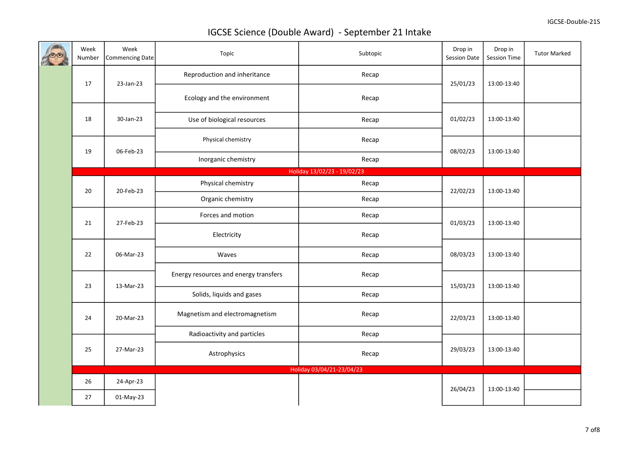|  | Week<br>Number | Week<br>Commencing Date | Topic                                 | Subtopic                    | Drop in<br>Session Date | Drop in<br>Session Time | <b>Tutor Marked</b> |
|--|----------------|-------------------------|---------------------------------------|-----------------------------|-------------------------|-------------------------|---------------------|
|  | 17             | 23-Jan-23               | Reproduction and inheritance          | Recap                       | 25/01/23                | 13:00-13:40             |                     |
|  |                |                         | Ecology and the environment           | Recap                       |                         |                         |                     |
|  | 18             | 30-Jan-23               | Use of biological resources           | Recap                       | 01/02/23                | 13:00-13:40             |                     |
|  |                |                         | Physical chemistry                    | Recap                       |                         |                         |                     |
|  | 19             | 06-Feb-23               | Inorganic chemistry                   | Recap                       | 08/02/23                | 13:00-13:40             |                     |
|  |                |                         |                                       | Holiday 13/02/23 - 19/02/23 |                         |                         |                     |
|  | 20             | 20-Feb-23               | Physical chemistry                    | Recap                       | 22/02/23                | 13:00-13:40             |                     |
|  |                |                         | Organic chemistry                     | Recap                       |                         |                         |                     |
|  | 21             | 27-Feb-23               | Forces and motion                     | Recap                       | 01/03/23                | 13:00-13:40             |                     |
|  |                |                         | Electricity                           | Recap                       |                         |                         |                     |
|  | 22             | 06-Mar-23               | Waves                                 | Recap                       | 08/03/23                | 13:00-13:40             |                     |
|  |                |                         | Energy resources and energy transfers | Recap                       |                         |                         |                     |
|  | 23             | 13-Mar-23               | Solids, liquids and gases             | Recap                       | 15/03/23                | 13:00-13:40             |                     |
|  | 24             | 20-Mar-23               | Magnetism and electromagnetism        | Recap                       | 22/03/23                | 13:00-13:40             |                     |
|  |                |                         | Radioactivity and particles           | Recap                       |                         |                         |                     |
|  | 25             | 27-Mar-23               | Astrophysics                          | Recap                       | 29/03/23                | 13:00-13:40             |                     |
|  |                |                         |                                       | Holiday 03/04/21-23/04/23   |                         |                         |                     |
|  | 26             | 24-Apr-23               |                                       |                             | 26/04/23                | 13:00-13:40             |                     |
|  | 27             | 01-May-23               |                                       |                             |                         |                         |                     |